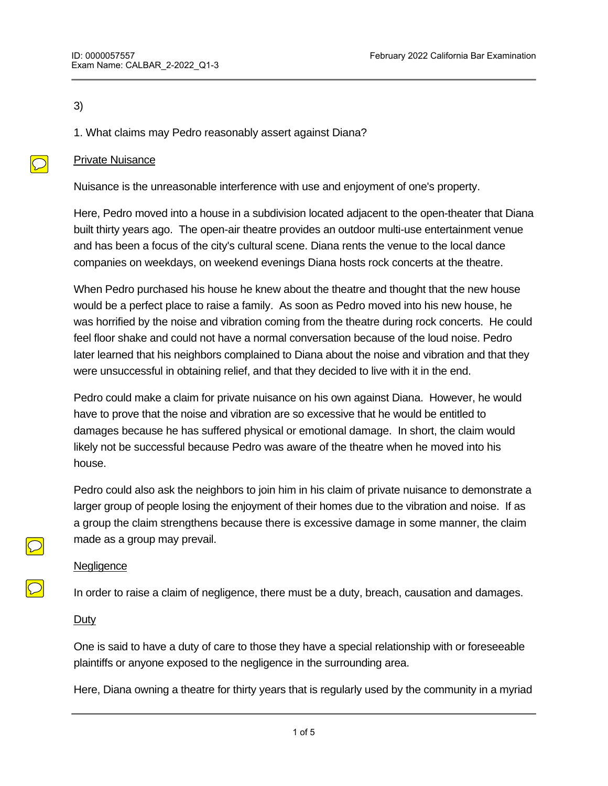### 3)

 $\bigcirc$ 

# 1. What claims may Pedro reasonably assert against Diana?

### Private Nuisance

Nuisance is the unreasonable interference with use and enjoyment of one's property.

Here, Pedro moved into a house in a subdivision located adjacent to the open-theater that Diana built thirty years ago. The open-air theatre provides an outdoor multi-use entertainment venue and has been a focus of the city's cultural scene. Diana rents the venue to the local dance companies on weekdays, on weekend evenings Diana hosts rock concerts at the theatre.

When Pedro purchased his house he knew about the theatre and thought that the new house would be a perfect place to raise a family. As soon as Pedro moved into his new house, he was horrified by the noise and vibration coming from the theatre during rock concerts. He could feel floor shake and could not have a normal conversation because of the loud noise. Pedro later learned that his neighbors complained to Diana about the noise and vibration and that they were unsuccessful in obtaining relief, and that they decided to live with it in the end.

Pedro could make a claim for private nuisance on his own against Diana. However, he would have to prove that the noise and vibration are so excessive that he would be entitled to damages because he has suffered physical or emotional damage. In short, the claim would likely not be successful because Pedro was aware of the theatre when he moved into his house.

Pedro could also ask the neighbors to join him in his claim of private nuisance to demonstrate a larger group of people losing the enjoyment of their homes due to the vibration and noise. If as a group the claim strengthens because there is excessive damage in some manner, the claim made as a group may prevail.

#### **Negligence**

In order to raise a claim of negligence, there must be a duty, breach, causation and damages.

# Duty

One is said to have a duty of care to those they have a special relationship with or foreseeable plaintiffs or anyone exposed to the negligence in the surrounding area.

Here, Diana owning a theatre for thirty years that is regularly used by the community in a myriad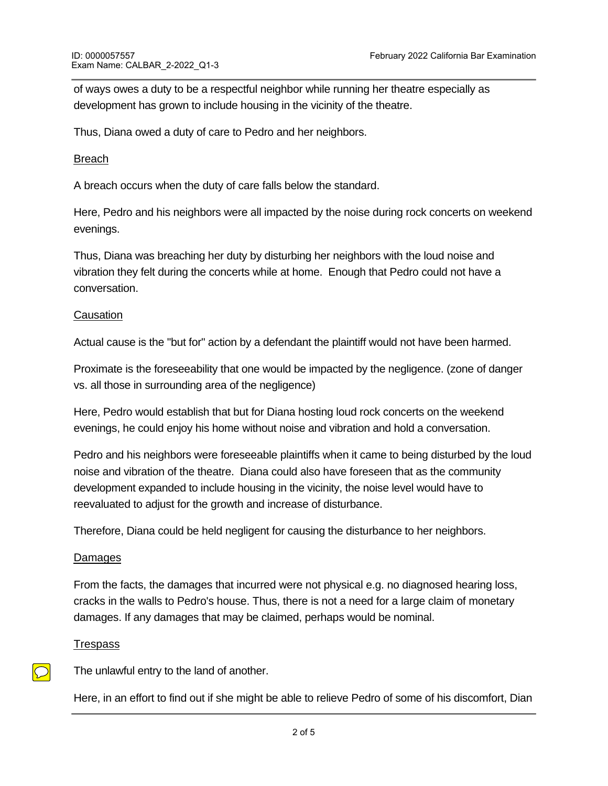of ways owes a duty to be a respectful neighbor while running her theatre especially as development has grown to include housing in the vicinity of the theatre.

Thus, Diana owed a duty of care to Pedro and her neighbors.

# Breach

A breach occurs when the duty of care falls below the standard.

Here, Pedro and his neighbors were all impacted by the noise during rock concerts on weekend evenings.

Thus, Diana was breaching her duty by disturbing her neighbors with the loud noise and vibration they felt during the concerts while at home. Enough that Pedro could not have a conversation.

# **Causation**

Actual cause is the "but for" action by a defendant the plaintiff would not have been harmed.

Proximate is the foreseeability that one would be impacted by the negligence. (zone of danger vs. all those in surrounding area of the negligence)

Here, Pedro would establish that but for Diana hosting loud rock concerts on the weekend evenings, he could enjoy his home without noise and vibration and hold a conversation.

Pedro and his neighbors were foreseeable plaintiffs when it came to being disturbed by the loud noise and vibration of the theatre. Diana could also have foreseen that as the community development expanded to include housing in the vicinity, the noise level would have to reevaluated to adjust for the growth and increase of disturbance.

Therefore, Diana could be held negligent for causing the disturbance to her neighbors.

# Damages

From the facts, the damages that incurred were not physical e.g. no diagnosed hearing loss, cracks in the walls to Pedro's house. Thus, there is not a need for a large claim of monetary damages. If any damages that may be claimed, perhaps would be nominal.

# **Trespass**

 $\overline{\bigcirc}$ 

The unlawful entry to the land of another.

Here, in an effort to find out if she might be able to relieve Pedro of some of his discomfort, Dian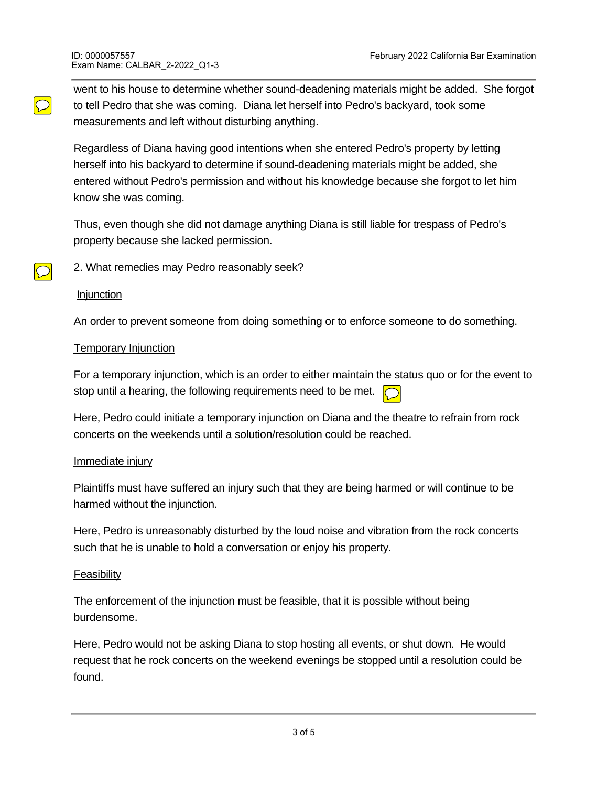went to his house to determine whether sound-deadening materials might be added. She forgot to tell Pedro that she was coming. Diana let herself into Pedro's backyard, took some measurements and left without disturbing anything.

Regardless of Diana having good intentions when she entered Pedro's property by letting herself into his backyard to determine if sound-deadening materials might be added, she entered without Pedro's permission and without his knowledge because she forgot to let him know she was coming.

Thus, even though she did not damage anything Diana is still liable for trespass of Pedro's property because she lacked permission.

2. What remedies may Pedro reasonably seek?

#### **Injunction**

 $\bigcirc$ 

 $\bigcirc$ 

An order to prevent someone from doing something or to enforce someone to do something.

### **Temporary Injunction**

For a temporary injunction, which is an order to either maintain the status quo or for the event to stop until a hearing, the following requirements need to be met.

Here, Pedro could initiate a temporary injunction on Diana and the theatre to refrain from rock concerts on the weekends until a solution/resolution could be reached.

# Immediate injury

Plaintiffs must have suffered an injury such that they are being harmed or will continue to be harmed without the injunction.

Here, Pedro is unreasonably disturbed by the loud noise and vibration from the rock concerts such that he is unable to hold a conversation or enjoy his property.

# **Feasibility**

The enforcement of the injunction must be feasible, that it is possible without being burdensome.

Here, Pedro would not be asking Diana to stop hosting all events, or shut down. He would request that he rock concerts on the weekend evenings be stopped until a resolution could be found.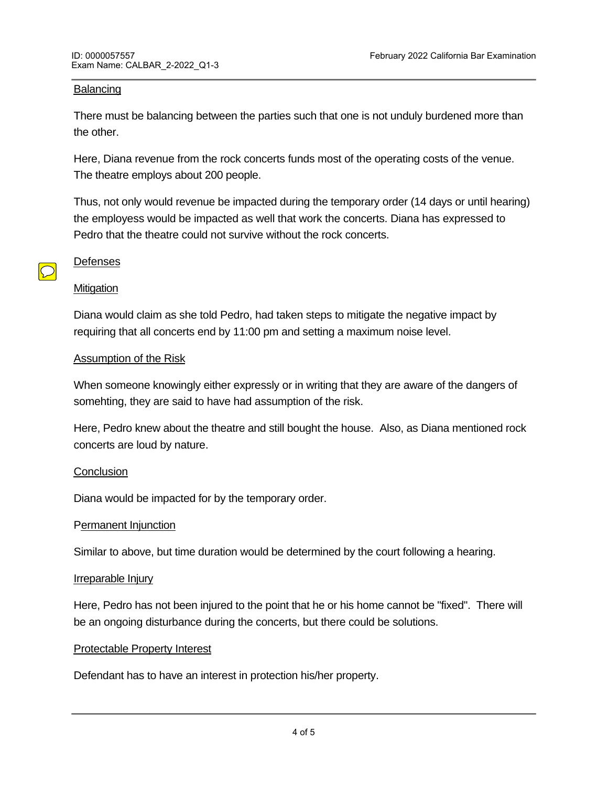### Balancing

There must be balancing between the parties such that one is not unduly burdened more than the other.

Here, Diana revenue from the rock concerts funds most of the operating costs of the venue. The theatre employs about 200 people.

Thus, not only would revenue be impacted during the temporary order (14 days or until hearing) the employess would be impacted as well that work the concerts. Diana has expressed to Pedro that the theatre could not survive without the rock concerts.

#### Defenses

 $\bigcirc$ 

#### **Mitigation**

Diana would claim as she told Pedro, had taken steps to mitigate the negative impact by requiring that all concerts end by 11:00 pm and setting a maximum noise level.

#### Assumption of the Risk

When someone knowingly either expressly or in writing that they are aware of the dangers of somehting, they are said to have had assumption of the risk.

Here, Pedro knew about the theatre and still bought the house. Also, as Diana mentioned rock concerts are loud by nature.

# **Conclusion**

Diana would be impacted for by the temporary order.

#### Permanent Injunction

Similar to above, but time duration would be determined by the court following a hearing.

#### Irreparable Injury

Here, Pedro has not been injured to the point that he or his home cannot be "fixed". There will be an ongoing disturbance during the concerts, but there could be solutions.

#### Protectable Property Interest

Defendant has to have an interest in protection his/her property.